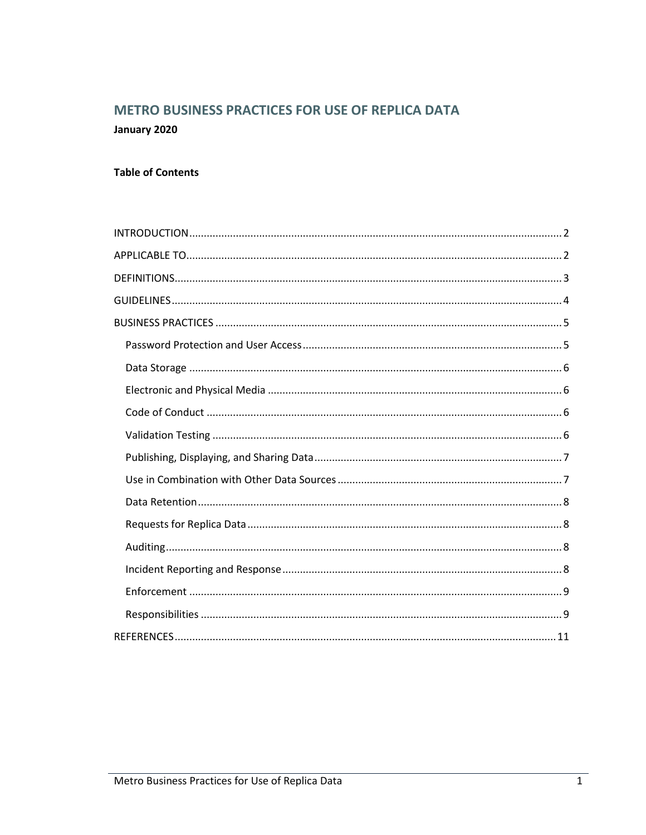# METRO BUSINESS PRACTICES FOR USE OF REPLICA DATA

January 2020

### **Table of Contents**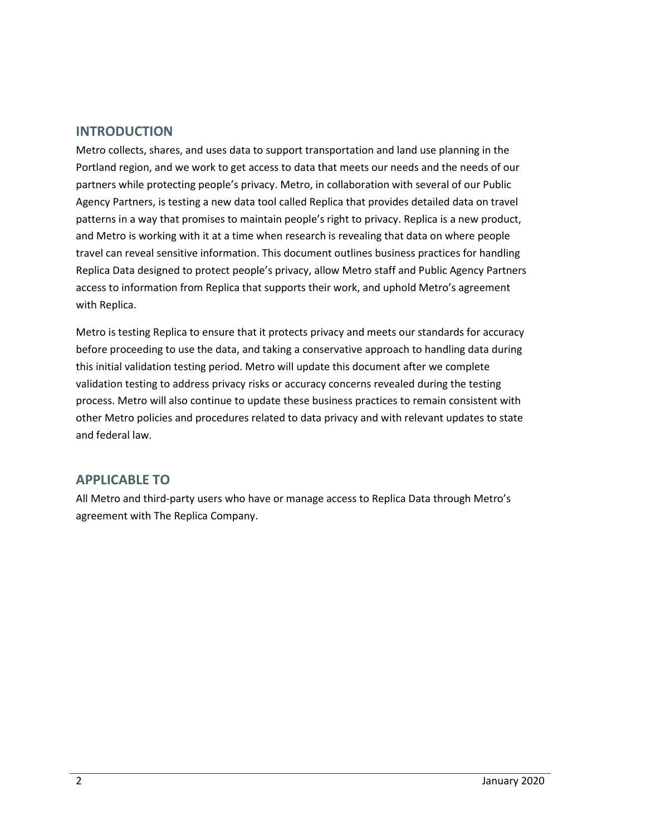### <span id="page-1-0"></span>**INTRODUCTION**

Metro collects, shares, and uses data to support transportation and land use planning in the Portland region, and we work to get access to data that meets our needs and the needs of our partners while protecting people's privacy. Metro, in collaboration with several of our Public Agency Partners, is testing a new data tool called Replica that provides detailed data on travel patterns in a way that promises to maintain people's right to privacy. Replica is a new product, and Metro is working with it at a time when research is revealing that data on where people travel can reveal sensitive information. This document outlines business practices for handling Replica Data designed to protect people's privacy, allow Metro staff and Public Agency Partners access to information from Replica that supports their work, and uphold Metro's agreement with Replica.

Metro is testing Replica to ensure that it protects privacy and meets our standards for accuracy before proceeding to use the data, and taking a conservative approach to handling data during this initial validation testing period. Metro will update this document after we complete validation testing to address privacy risks or accuracy concerns revealed during the testing process. Metro will also continue to update these business practices to remain consistent with other Metro policies and procedures related to data privacy and with relevant updates to state and federal law.

## <span id="page-1-1"></span>**APPLICABLE TO**

<span id="page-1-2"></span>All Metro and third-party users who have or manage access to Replica Data through Metro's agreement with The Replica Company.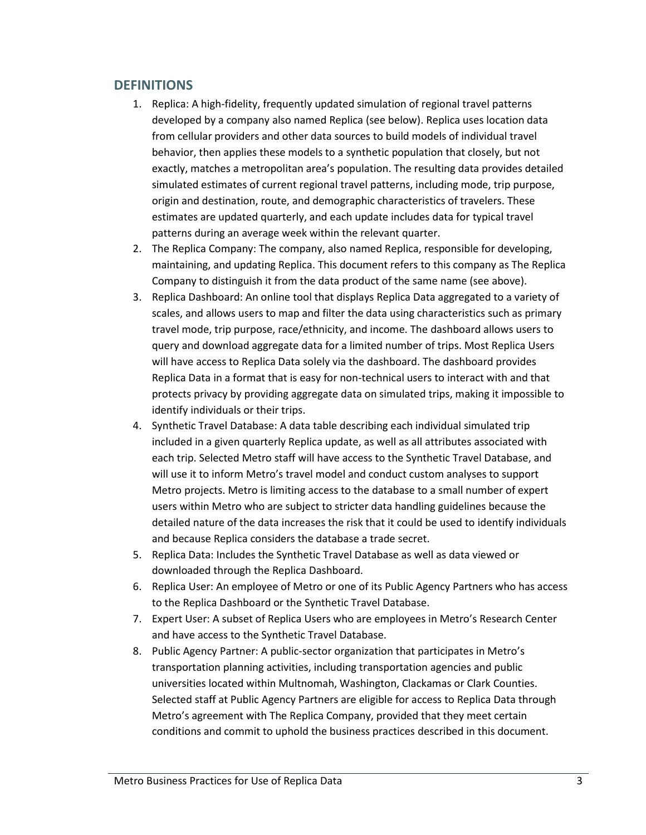### **DEFINITIONS**

- 1. Replica: A high-fidelity, frequently updated simulation of regional travel patterns developed by a company also named Replica (see below). Replica uses location data from cellular providers and other data sources to build models of individual travel behavior, then applies these models to a synthetic population that closely, but not exactly, matches a metropolitan area's population. The resulting data provides detailed simulated estimates of current regional travel patterns, including mode, trip purpose, origin and destination, route, and demographic characteristics of travelers. These estimates are updated quarterly, and each update includes data for typical travel patterns during an average week within the relevant quarter.
- 2. The Replica Company: The company, also named Replica, responsible for developing, maintaining, and updating Replica. This document refers to this company as The Replica Company to distinguish it from the data product of the same name (see above).
- 3. Replica Dashboard: An online tool that displays Replica Data aggregated to a variety of scales, and allows users to map and filter the data using characteristics such as primary travel mode, trip purpose, race/ethnicity, and income. The dashboard allows users to query and download aggregate data for a limited number of trips. Most Replica Users will have access to Replica Data solely via the dashboard. The dashboard provides Replica Data in a format that is easy for non-technical users to interact with and that protects privacy by providing aggregate data on simulated trips, making it impossible to identify individuals or their trips.
- 4. Synthetic Travel Database: A data table describing each individual simulated trip included in a given quarterly Replica update, as well as all attributes associated with each trip. Selected Metro staff will have access to the Synthetic Travel Database, and will use it to inform Metro's travel model and conduct custom analyses to support Metro projects. Metro is limiting access to the database to a small number of expert users within Metro who are subject to stricter data handling guidelines because the detailed nature of the data increases the risk that it could be used to identify individuals and because Replica considers the database a trade secret.
- 5. Replica Data: Includes the Synthetic Travel Database as well as data viewed or downloaded through the Replica Dashboard.
- 6. Replica User: An employee of Metro or one of its Public Agency Partners who has access to the Replica Dashboard or the Synthetic Travel Database.
- 7. Expert User: A subset of Replica Users who are employees in Metro's Research Center and have access to the Synthetic Travel Database.
- 8. Public Agency Partner: A public-sector organization that participates in Metro's transportation planning activities, including transportation agencies and public universities located within Multnomah, Washington, Clackamas or Clark Counties. Selected staff at Public Agency Partners are eligible for access to Replica Data through Metro's agreement with The Replica Company, provided that they meet certain conditions and commit to uphold the business practices described in this document.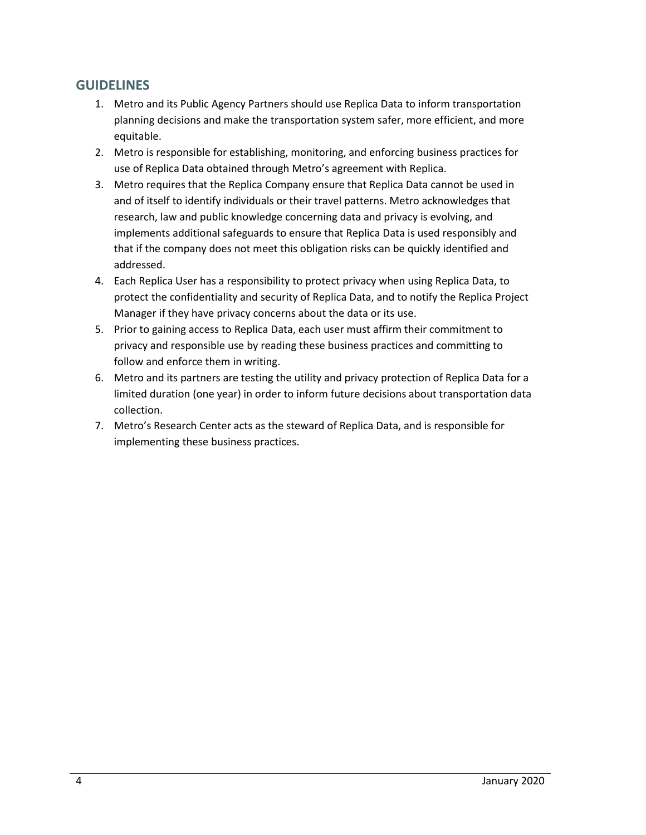## <span id="page-3-0"></span>**GUIDELINES**

- 1. Metro and its Public Agency Partners should use Replica Data to inform transportation planning decisions and make the transportation system safer, more efficient, and more equitable.
- 2. Metro is responsible for establishing, monitoring, and enforcing business practices for use of Replica Data obtained through Metro's agreement with Replica.
- 3. Metro requires that the Replica Company ensure that Replica Data cannot be used in and of itself to identify individuals or their travel patterns. Metro acknowledges that research, law and public knowledge concerning data and privacy is evolving, and implements additional safeguards to ensure that Replica Data is used responsibly and that if the company does not meet this obligation risks can be quickly identified and addressed.
- 4. Each Replica User has a responsibility to protect privacy when using Replica Data, to protect the confidentiality and security of Replica Data, and to notify the Replica Project Manager if they have privacy concerns about the data or its use.
- 5. Prior to gaining access to Replica Data, each user must affirm their commitment to privacy and responsible use by reading these business practices and committing to follow and enforce them in writing.
- 6. Metro and its partners are testing the utility and privacy protection of Replica Data for a limited duration (one year) in order to inform future decisions about transportation data collection.
- 7. Metro's Research Center acts as the steward of Replica Data, and is responsible for implementing these business practices.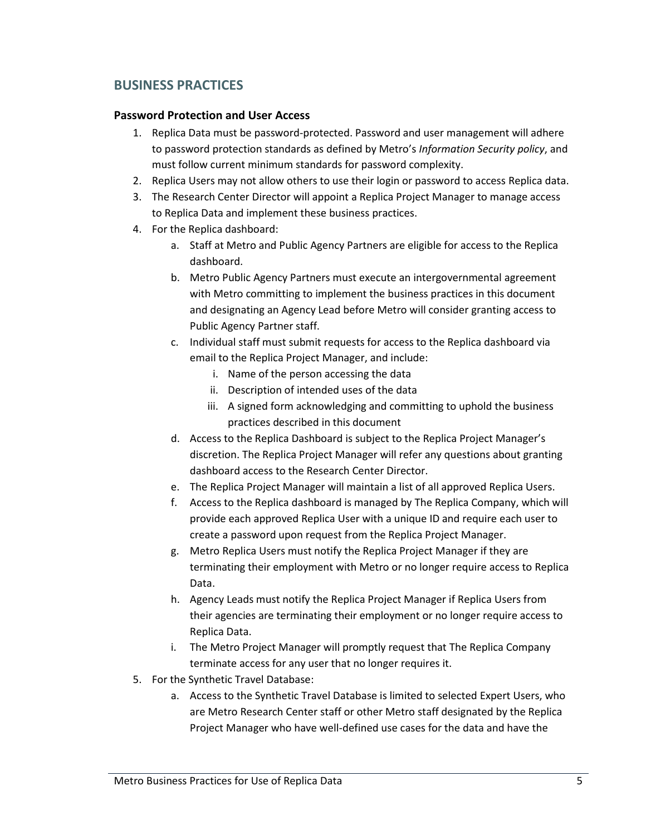## <span id="page-4-0"></span>**BUSINESS PRACTICES**

#### <span id="page-4-1"></span>**Password Protection and User Access**

- 1. Replica Data must be password-protected. Password and user management will adhere to password protection standards as defined by Metro's *Information Security policy*, and must follow current minimum standards for password complexity.
- 2. Replica Users may not allow others to use their login or password to access Replica data.
- 3. The Research Center Director will appoint a Replica Project Manager to manage access to Replica Data and implement these business practices.
- 4. For the Replica dashboard:
	- a. Staff at Metro and Public Agency Partners are eligible for access to the Replica dashboard.
	- b. Metro Public Agency Partners must execute an intergovernmental agreement with Metro committing to implement the business practices in this document and designating an Agency Lead before Metro will consider granting access to Public Agency Partner staff.
	- c. Individual staff must submit requests for access to the Replica dashboard via email to the Replica Project Manager, and include:
		- i. Name of the person accessing the data
		- ii. Description of intended uses of the data
		- iii. A signed form acknowledging and committing to uphold the business practices described in this document
	- d. Access to the Replica Dashboard is subject to the Replica Project Manager's discretion. The Replica Project Manager will refer any questions about granting dashboard access to the Research Center Director.
	- e. The Replica Project Manager will maintain a list of all approved Replica Users.
	- f. Access to the Replica dashboard is managed by The Replica Company, which will provide each approved Replica User with a unique ID and require each user to create a password upon request from the Replica Project Manager.
	- g. Metro Replica Users must notify the Replica Project Manager if they are terminating their employment with Metro or no longer require access to Replica Data.
	- h. Agency Leads must notify the Replica Project Manager if Replica Users from their agencies are terminating their employment or no longer require access to Replica Data.
	- i. The Metro Project Manager will promptly request that The Replica Company terminate access for any user that no longer requires it.
- 5. For the Synthetic Travel Database:
	- a. Access to the Synthetic Travel Database is limited to selected Expert Users, who are Metro Research Center staff or other Metro staff designated by the Replica Project Manager who have well-defined use cases for the data and have the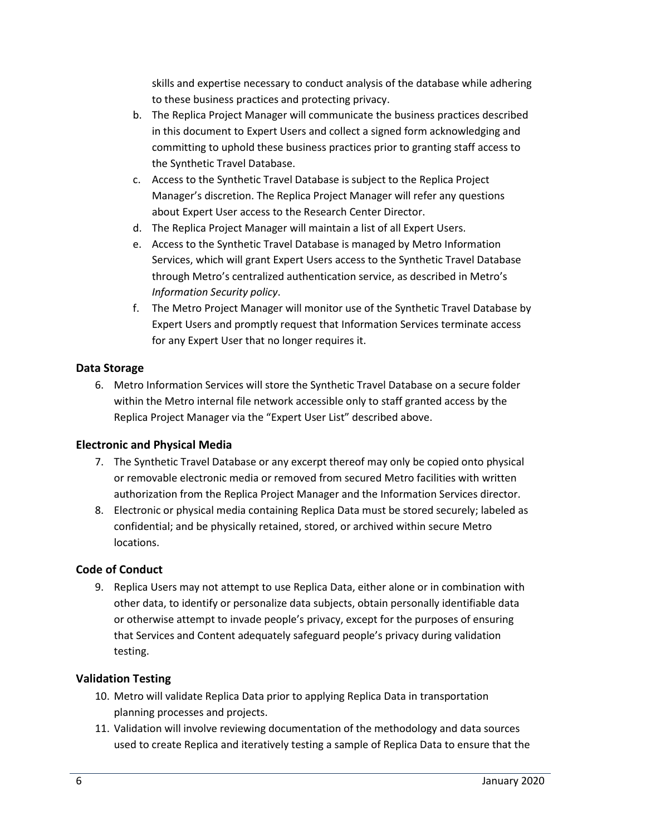skills and expertise necessary to conduct analysis of the database while adhering to these business practices and protecting privacy.

- b. The Replica Project Manager will communicate the business practices described in this document to Expert Users and collect a signed form acknowledging and committing to uphold these business practices prior to granting staff access to the Synthetic Travel Database.
- c. Access to the Synthetic Travel Database is subject to the Replica Project Manager's discretion. The Replica Project Manager will refer any questions about Expert User access to the Research Center Director.
- d. The Replica Project Manager will maintain a list of all Expert Users.
- e. Access to the Synthetic Travel Database is managed by Metro Information Services, which will grant Expert Users access to the Synthetic Travel Database through Metro's centralized authentication service, as described in Metro's *Information Security policy*.
- f. The Metro Project Manager will monitor use of the Synthetic Travel Database by Expert Users and promptly request that Information Services terminate access for any Expert User that no longer requires it.

### <span id="page-5-0"></span>**Data Storage**

6. Metro Information Services will store the Synthetic Travel Database on a secure folder within the Metro internal file network accessible only to staff granted access by the Replica Project Manager via the "Expert User List" described above.

### <span id="page-5-1"></span>**Electronic and Physical Media**

- 7. The Synthetic Travel Database or any excerpt thereof may only be copied onto physical or removable electronic media or removed from secured Metro facilities with written authorization from the Replica Project Manager and the Information Services director.
- 8. Electronic or physical media containing Replica Data must be stored securely; labeled as confidential; and be physically retained, stored, or archived within secure Metro locations.

### <span id="page-5-2"></span>**Code of Conduct**

9. Replica Users may not attempt to use Replica Data, either alone or in combination with other data, to identify or personalize data subjects, obtain personally identifiable data or otherwise attempt to invade people's privacy, except for the purposes of ensuring that Services and Content adequately safeguard people's privacy during validation testing.

### <span id="page-5-3"></span>**Validation Testing**

- 10. Metro will validate Replica Data prior to applying Replica Data in transportation planning processes and projects.
- 11. Validation will involve reviewing documentation of the methodology and data sources used to create Replica and iteratively testing a sample of Replica Data to ensure that the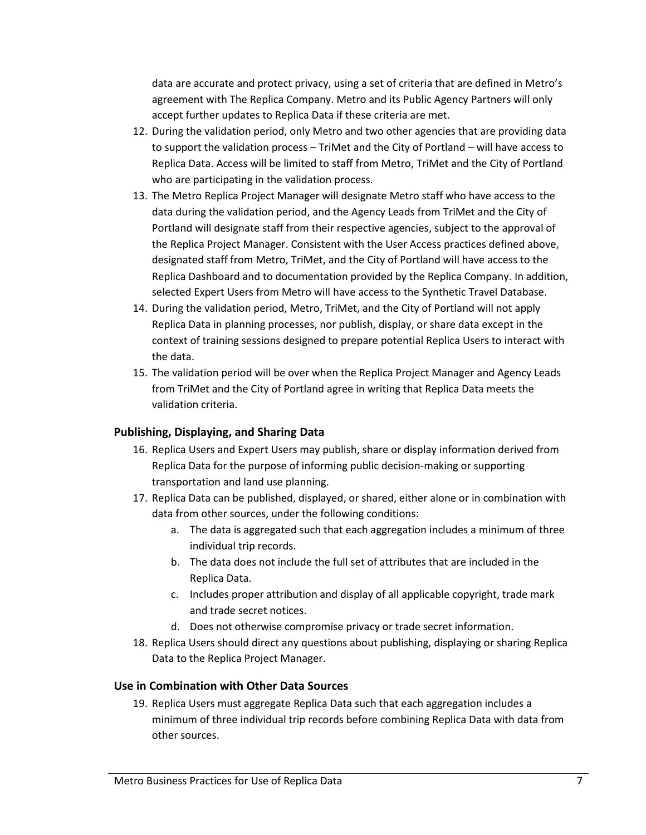data are accurate and protect privacy, using a set of criteria that are defined in Metro's agreement with The Replica Company. Metro and its Public Agency Partners will only accept further updates to Replica Data if these criteria are met.

- 12. During the validation period, only Metro and two other agencies that are providing data to support the validation process – TriMet and the City of Portland – will have access to Replica Data. Access will be limited to staff from Metro, TriMet and the City of Portland who are participating in the validation process.
- 13. The Metro Replica Project Manager will designate Metro staff who have access to the data during the validation period, and the Agency Leads from TriMet and the City of Portland will designate staff from their respective agencies, subject to the approval of the Replica Project Manager. Consistent with the User Access practices defined above, designated staff from Metro, TriMet, and the City of Portland will have access to the Replica Dashboard and to documentation provided by the Replica Company. In addition, selected Expert Users from Metro will have access to the Synthetic Travel Database.
- 14. During the validation period, Metro, TriMet, and the City of Portland will not apply Replica Data in planning processes, nor publish, display, or share data except in the context of training sessions designed to prepare potential Replica Users to interact with the data.
- 15. The validation period will be over when the Replica Project Manager and Agency Leads from TriMet and the City of Portland agree in writing that Replica Data meets the validation criteria.

### <span id="page-6-0"></span>**Publishing, Displaying, and Sharing Data**

- 16. Replica Users and Expert Users may publish, share or display information derived from Replica Data for the purpose of informing public decision-making or supporting transportation and land use planning.
- 17. Replica Data can be published, displayed, or shared, either alone or in combination with data from other sources, under the following conditions:
	- a. The data is aggregated such that each aggregation includes a minimum of three individual trip records.
	- b. The data does not include the full set of attributes that are included in the Replica Data.
	- c. Includes proper attribution and display of all applicable copyright, trade mark and trade secret notices.
	- d. Does not otherwise compromise privacy or trade secret information.
- 18. Replica Users should direct any questions about publishing, displaying or sharing Replica Data to the Replica Project Manager.

### <span id="page-6-1"></span>**Use in Combination with Other Data Sources**

19. Replica Users must aggregate Replica Data such that each aggregation includes a minimum of three individual trip records before combining Replica Data with data from other sources.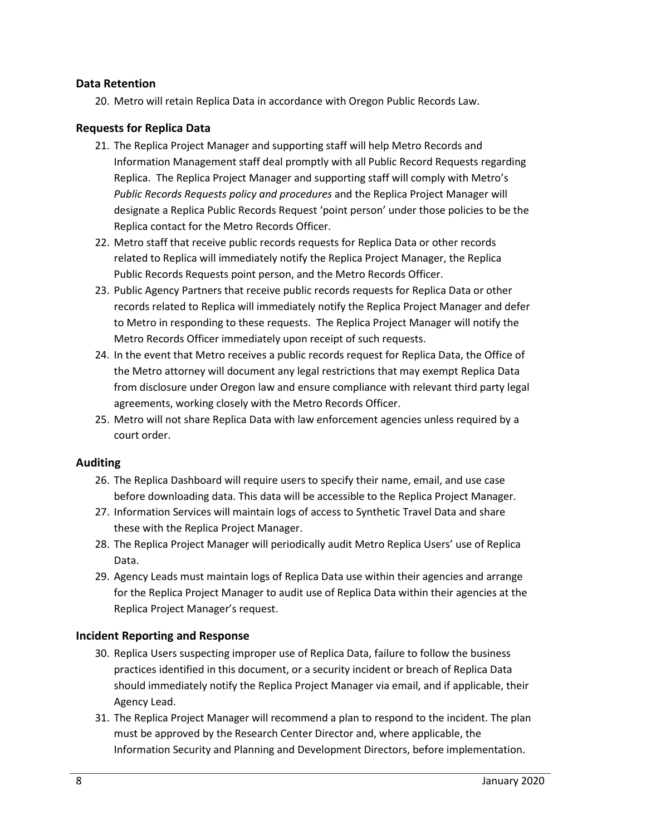#### <span id="page-7-0"></span>**Data Retention**

20. Metro will retain Replica Data in accordance with Oregon Public Records Law.

### <span id="page-7-1"></span>**Requests for Replica Data**

- 21. The Replica Project Manager and supporting staff will help Metro Records and Information Management staff deal promptly with all Public Record Requests regarding Replica. The Replica Project Manager and supporting staff will comply with Metro's *Public Records Requests policy and procedures* and the Replica Project Manager will designate a Replica Public Records Request 'point person' under those policies to be the Replica contact for the Metro Records Officer.
- 22. Metro staff that receive public records requests for Replica Data or other records related to Replica will immediately notify the Replica Project Manager, the Replica Public Records Requests point person, and the Metro Records Officer.
- 23. Public Agency Partners that receive public records requests for Replica Data or other records related to Replica will immediately notify the Replica Project Manager and defer to Metro in responding to these requests. The Replica Project Manager will notify the Metro Records Officer immediately upon receipt of such requests.
- 24. In the event that Metro receives a public records request for Replica Data, the Office of the Metro attorney will document any legal restrictions that may exempt Replica Data from disclosure under Oregon law and ensure compliance with relevant third party legal agreements, working closely with the Metro Records Officer.
- 25. Metro will not share Replica Data with law enforcement agencies unless required by a court order.

### <span id="page-7-2"></span>**Auditing**

- 26. The Replica Dashboard will require users to specify their name, email, and use case before downloading data. This data will be accessible to the Replica Project Manager.
- 27. Information Services will maintain logs of access to Synthetic Travel Data and share these with the Replica Project Manager.
- 28. The Replica Project Manager will periodically audit Metro Replica Users' use of Replica Data.
- 29. Agency Leads must maintain logs of Replica Data use within their agencies and arrange for the Replica Project Manager to audit use of Replica Data within their agencies at the Replica Project Manager's request.

### <span id="page-7-3"></span>**Incident Reporting and Response**

- 30. Replica Users suspecting improper use of Replica Data, failure to follow the business practices identified in this document, or a security incident or breach of Replica Data should immediately notify the Replica Project Manager via email, and if applicable, their Agency Lead.
- 31. The Replica Project Manager will recommend a plan to respond to the incident. The plan must be approved by the Research Center Director and, where applicable, the Information Security and Planning and Development Directors, before implementation.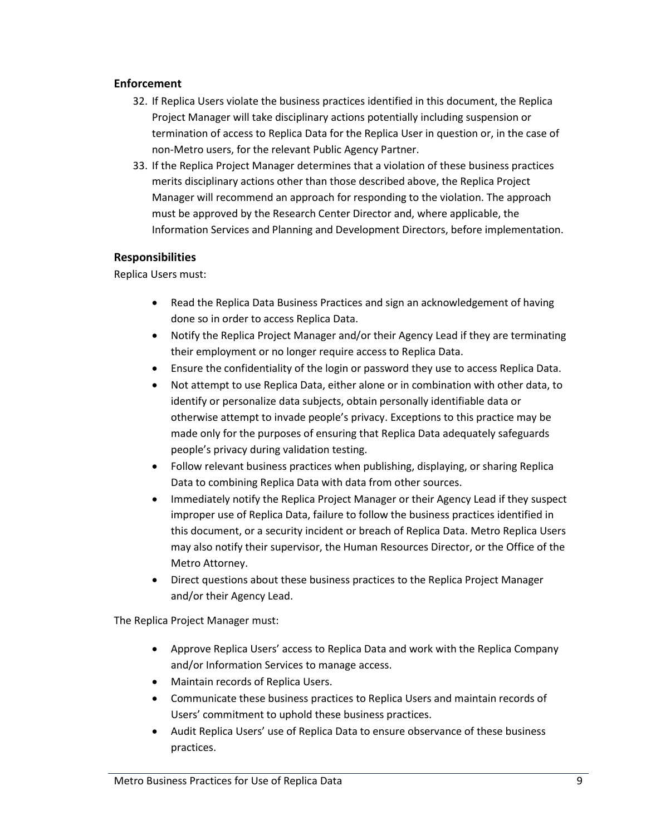#### <span id="page-8-0"></span>**Enforcement**

- 32. If Replica Users violate the business practices identified in this document, the Replica Project Manager will take disciplinary actions potentially including suspension or termination of access to Replica Data for the Replica User in question or, in the case of non-Metro users, for the relevant Public Agency Partner.
- 33. If the Replica Project Manager determines that a violation of these business practices merits disciplinary actions other than those described above, the Replica Project Manager will recommend an approach for responding to the violation. The approach must be approved by the Research Center Director and, where applicable, the Information Services and Planning and Development Directors, before implementation.

### <span id="page-8-1"></span>**Responsibilities**

Replica Users must:

- Read the Replica Data Business Practices and sign an acknowledgement of having done so in order to access Replica Data.
- Notify the Replica Project Manager and/or their Agency Lead if they are terminating their employment or no longer require access to Replica Data.
- Ensure the confidentiality of the login or password they use to access Replica Data.
- Not attempt to use Replica Data, either alone or in combination with other data, to identify or personalize data subjects, obtain personally identifiable data or otherwise attempt to invade people's privacy. Exceptions to this practice may be made only for the purposes of ensuring that Replica Data adequately safeguards people's privacy during validation testing.
- Follow relevant business practices when publishing, displaying, or sharing Replica Data to combining Replica Data with data from other sources.
- Immediately notify the Replica Project Manager or their Agency Lead if they suspect improper use of Replica Data, failure to follow the business practices identified in this document, or a security incident or breach of Replica Data. Metro Replica Users may also notify their supervisor, the Human Resources Director, or the Office of the Metro Attorney.
- Direct questions about these business practices to the Replica Project Manager and/or their Agency Lead.

The Replica Project Manager must:

- Approve Replica Users' access to Replica Data and work with the Replica Company and/or Information Services to manage access.
- Maintain records of Replica Users.
- Communicate these business practices to Replica Users and maintain records of Users' commitment to uphold these business practices.
- Audit Replica Users' use of Replica Data to ensure observance of these business practices.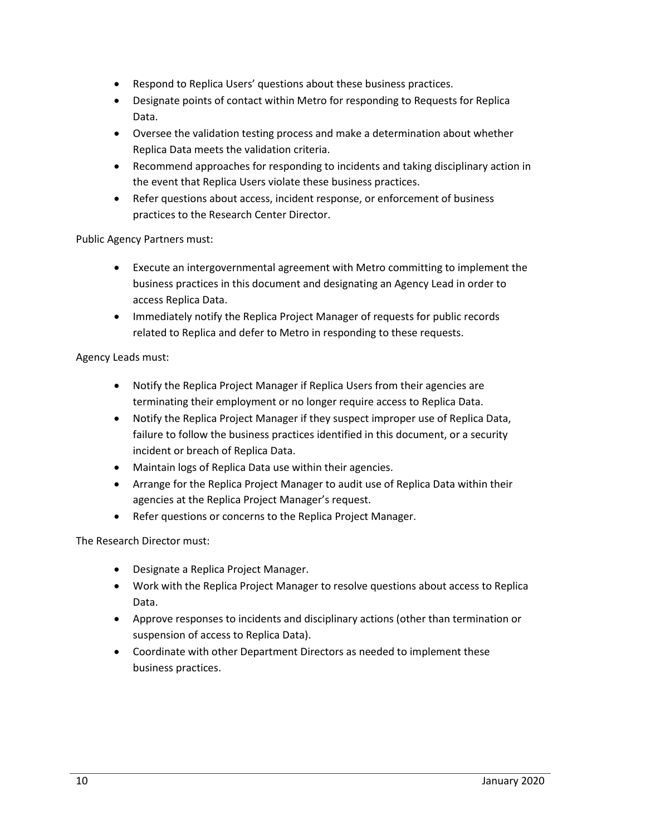- Respond to Replica Users' questions about these business practices.
- Designate points of contact within Metro for responding to Requests for Replica Data.
- Oversee the validation testing process and make a determination about whether Replica Data meets the validation criteria.
- Recommend approaches for responding to incidents and taking disciplinary action in the event that Replica Users violate these business practices.
- Refer questions about access, incident response, or enforcement of business practices to the Research Center Director.

Public Agency Partners must:

- Execute an intergovernmental agreement with Metro committing to implement the business practices in this document and designating an Agency Lead in order to access Replica Data.
- Immediately notify the Replica Project Manager of requests for public records related to Replica and defer to Metro in responding to these requests.

#### Agency Leads must:

- Notify the Replica Project Manager if Replica Users from their agencies are terminating their employment or no longer require access to Replica Data.
- Notify the Replica Project Manager if they suspect improper use of Replica Data, failure to follow the business practices identified in this document, or a security incident or breach of Replica Data.
- Maintain logs of Replica Data use within their agencies.
- Arrange for the Replica Project Manager to audit use of Replica Data within their agencies at the Replica Project Manager's request.
- Refer questions or concerns to the Replica Project Manager.

The Research Director must:

- Designate a Replica Project Manager.
- Work with the Replica Project Manager to resolve questions about access to Replica Data.
- Approve responses to incidents and disciplinary actions (other than termination or suspension of access to Replica Data).
- Coordinate with other Department Directors as needed to implement these business practices.